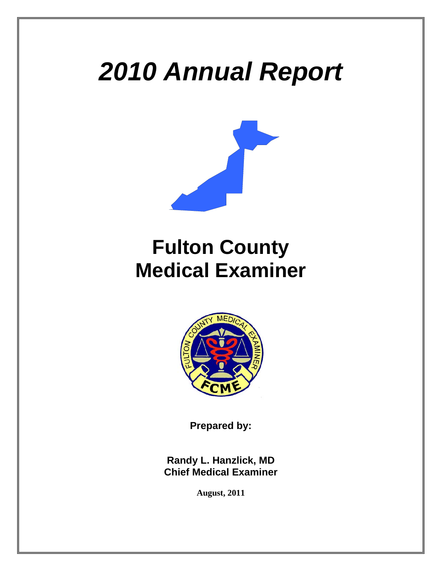# *2010 Annual Report*



# **Fulton County Medical Examiner**



**Prepared by:** 

**Randy L. Hanzlick, MD Chief Medical Examiner** 

**August, 2011**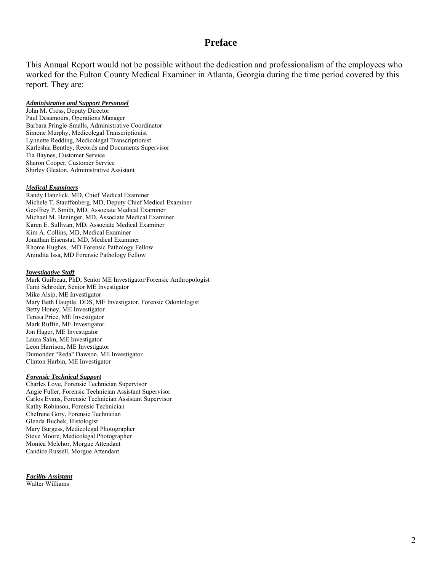#### **Preface**

This Annual Report would not be possible without the dedication and professionalism of the employees who worked for the Fulton County Medical Examiner in Atlanta, Georgia during the time period covered by this report. They are:

#### *Administrative and Support Personnel*

John M. Cross, Deputy Director Paul Desamours, Operations Manager Barbara Pringle-Smalls, Administrative Coordinator Simone Murphy, Medicolegal Transcriptionist Lynnette Redding, Medicolegal Transcriptionist Karleshia Bentley, Records and Documents Supervisor Tia Baynes, Customer Service Sharon Cooper, Customer Service Shirley Gleaton, Administrative Assistant

#### *Medical Examiners*

Randy Hanzlick, MD, Chief Medical Examiner Michele T. Stauffenberg, MD, Deputy Chief Medical Examiner Geoffrey P. Smith, MD, Associate Medical Examiner Michael M. Heninger, MD, Associate Medical Examiner Karen E. Sullivan, MD, Associate Medical Examiner Kim A. Collins, MD, Medical Examiner Jonathan Eisenstat, MD, Medical Examiner Rhome Hughes, MD Forensic Pathology Fellow Anindita Issa, MD Forensic Pathology Fellow

#### *Investigative Staff*

Mark Guilbeau, PhD, Senior ME Investigator/Forensic Anthropologist Tami Schroder, Senior ME Investigator Mike Alsip, ME Investigator Mary Beth Hauptle, DDS, ME Investigator, Forensic Odontologist Betty Honey, ME Investigator Teresa Price, ME Investigator Mark Ruffin, ME Investigator Jon Hager, ME Investigator Laura Salm, ME Investigator Leon Harrison, ME Investigator Dumonder "Reda" Dawson, ME Investigator Clinton Harbin, ME Investigator

#### *Forensic Technical Support*

Charles Love, Forensic Technician Supervisor Angie Fuller, Forensic Technician Assistant Supervisor Carlos Evans, Forensic Technician Assistant Supervisor Kathy Robinson, Forensic Technician Chefrene Gory, Forensic Technician Glenda Buchek, Histologist Mary Burgess, Medicolegal Photographer Steve Moore, Medicolegal Photographer Monica Melchor, Morgue Attendant Candice Russell, Morgue Attendant

*Facility Assistant* Walter Williams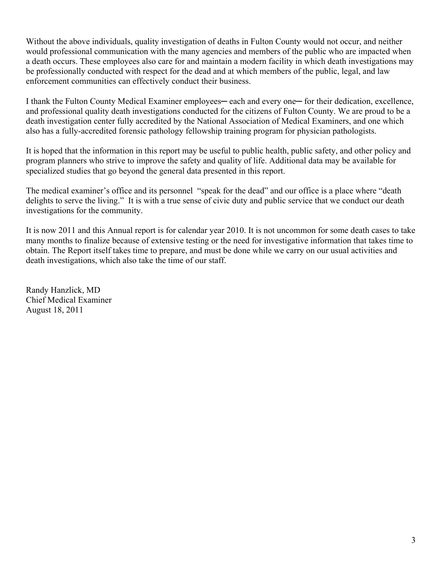Without the above individuals, quality investigation of deaths in Fulton County would not occur, and neither would professional communication with the many agencies and members of the public who are impacted when a death occurs. These employees also care for and maintain a modern facility in which death investigations may be professionally conducted with respect for the dead and at which members of the public, legal, and law enforcement communities can effectively conduct their business.

I thank the Fulton County Medical Examiner employees— each and every one— for their dedication, excellence, and professional quality death investigations conducted for the citizens of Fulton County. We are proud to be a death investigation center fully accredited by the National Association of Medical Examiners, and one which also has a fully-accredited forensic pathology fellowship training program for physician pathologists.

It is hoped that the information in this report may be useful to public health, public safety, and other policy and program planners who strive to improve the safety and quality of life. Additional data may be available for specialized studies that go beyond the general data presented in this report.

The medical examiner's office and its personnel "speak for the dead" and our office is a place where "death delights to serve the living." It is with a true sense of civic duty and public service that we conduct our death investigations for the community.

It is now 2011 and this Annual report is for calendar year 2010. It is not uncommon for some death cases to take many months to finalize because of extensive testing or the need for investigative information that takes time to obtain. The Report itself takes time to prepare, and must be done while we carry on our usual activities and death investigations, which also take the time of our staff.

Randy Hanzlick, MD Chief Medical Examiner August 18, 2011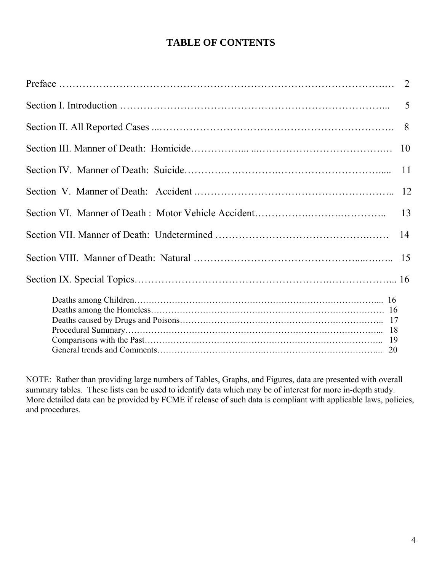# **TABLE OF CONTENTS**

| 2              |
|----------------|
| $\overline{5}$ |
| 8              |
| 10             |
| 11             |
| 12             |
|                |
| 14             |
|                |
|                |
|                |

NOTE: Rather than providing large numbers of Tables, Graphs, and Figures, data are presented with overall summary tables. These lists can be used to identify data which may be of interest for more in-depth study. More detailed data can be provided by FCME if release of such data is compliant with applicable laws, policies, and procedures.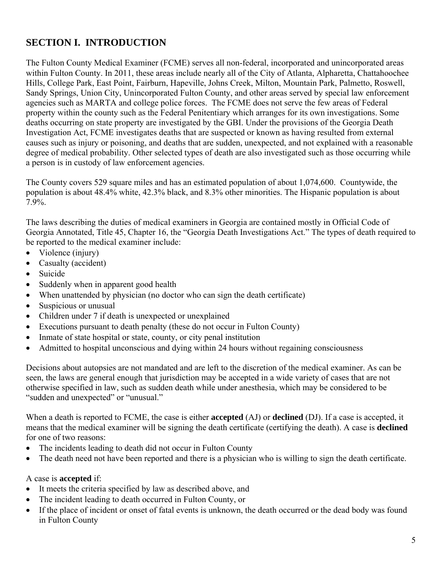# **SECTION I. INTRODUCTION**

The Fulton County Medical Examiner (FCME) serves all non-federal, incorporated and unincorporated areas within Fulton County. In 2011, these areas include nearly all of the City of Atlanta, Alpharetta, Chattahoochee Hills, College Park, East Point, Fairburn, Hapeville, Johns Creek, Milton, Mountain Park, Palmetto, Roswell, Sandy Springs, Union City, Unincorporated Fulton County, and other areas served by special law enforcement agencies such as MARTA and college police forces. The FCME does not serve the few areas of Federal property within the county such as the Federal Penitentiary which arranges for its own investigations. Some deaths occurring on state property are investigated by the GBI. Under the provisions of the Georgia Death Investigation Act, FCME investigates deaths that are suspected or known as having resulted from external causes such as injury or poisoning, and deaths that are sudden, unexpected, and not explained with a reasonable degree of medical probability. Other selected types of death are also investigated such as those occurring while a person is in custody of law enforcement agencies.

The County covers 529 square miles and has an estimated population of about 1,074,600. Countywide, the population is about 48.4% white, 42.3% black, and 8.3% other minorities. The Hispanic population is about 7.9%.

The laws describing the duties of medical examiners in Georgia are contained mostly in Official Code of Georgia Annotated, Title 45, Chapter 16, the "Georgia Death Investigations Act." The types of death required to be reported to the medical examiner include:

- Violence (injury)
- Casualty (accident)
- Suicide
- Suddenly when in apparent good health
- When unattended by physician (no doctor who can sign the death certificate)
- Suspicious or unusual
- Children under 7 if death is unexpected or unexplained
- Executions pursuant to death penalty (these do not occur in Fulton County)
- Inmate of state hospital or state, county, or city penal institution
- Admitted to hospital unconscious and dying within 24 hours without regaining consciousness

Decisions about autopsies are not mandated and are left to the discretion of the medical examiner. As can be seen, the laws are general enough that jurisdiction may be accepted in a wide variety of cases that are not otherwise specified in law, such as sudden death while under anesthesia, which may be considered to be "sudden and unexpected" or "unusual."

When a death is reported to FCME, the case is either **accepted** (AJ) or **declined** (DJ). If a case is accepted, it means that the medical examiner will be signing the death certificate (certifying the death). A case is **declined**  for one of two reasons:

- The incidents leading to death did not occur in Fulton County
- The death need not have been reported and there is a physician who is willing to sign the death certificate.

#### A case is **accepted** if:

- It meets the criteria specified by law as described above, and
- The incident leading to death occurred in Fulton County, or
- If the place of incident or onset of fatal events is unknown, the death occurred or the dead body was found in Fulton County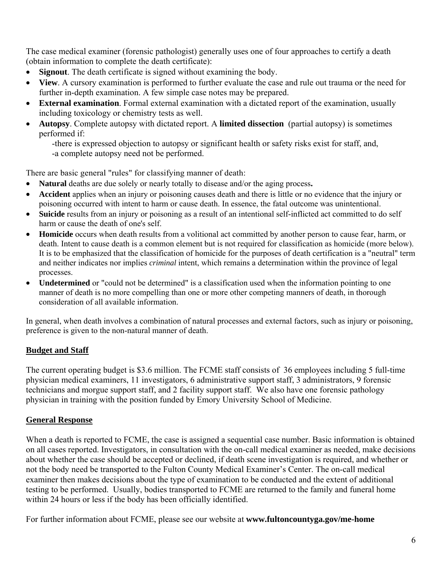The case medical examiner (forensic pathologist) generally uses one of four approaches to certify a death (obtain information to complete the death certificate):

- **Signout**. The death certificate is signed without examining the body.
- **View**. A cursory examination is performed to further evaluate the case and rule out trauma or the need for further in-depth examination. A few simple case notes may be prepared.
- **External examination**. Formal external examination with a dictated report of the examination, usually including toxicology or chemistry tests as well.
- **Autopsy**. Complete autopsy with dictated report. A **limited dissection** (partial autopsy) is sometimes performed if:

-there is expressed objection to autopsy or significant health or safety risks exist for staff, and,

-a complete autopsy need not be performed.

There are basic general "rules" for classifying manner of death:

- **Natural** deaths are due solely or nearly totally to disease and/or the aging process**.**
- **Accident** applies when an injury or poisoning causes death and there is little or no evidence that the injury or poisoning occurred with intent to harm or cause death. In essence, the fatal outcome was unintentional.
- **Suicide** results from an injury or poisoning as a result of an intentional self-inflicted act committed to do self harm or cause the death of one's self.
- **Homicide** occurs when death results from a volitional act committed by another person to cause fear, harm, or death. Intent to cause death is a common element but is not required for classification as homicide (more below). It is to be emphasized that the classification of homicide for the purposes of death certification is a "neutral" term and neither indicates nor implies *criminal* intent, which remains a determination within the province of legal processes.
- **Undetermined** or "could not be determined" is a classification used when the information pointing to one manner of death is no more compelling than one or more other competing manners of death, in thorough consideration of all available information.

In general, when death involves a combination of natural processes and external factors, such as injury or poisoning, preference is given to the non-natural manner of death.

## **Budget and Staff**

The current operating budget is \$3.6 million. The FCME staff consists of 36 employees including 5 full-time physician medical examiners, 11 investigators, 6 administrative support staff, 3 administrators, 9 forensic technicians and morgue support staff, and 2 facility support staff. We also have one forensic pathology physician in training with the position funded by Emory University School of Medicine.

## **General Response**

When a death is reported to FCME, the case is assigned a sequential case number. Basic information is obtained on all cases reported. Investigators, in consultation with the on-call medical examiner as needed, make decisions about whether the case should be accepted or declined, if death scene investigation is required, and whether or not the body need be transported to the Fulton County Medical Examiner's Center. The on-call medical examiner then makes decisions about the type of examination to be conducted and the extent of additional testing to be performed. Usually, bodies transported to FCME are returned to the family and funeral home within 24 hours or less if the body has been officially identified.

For further information about FCME, please see our website at **www.fultoncountyga.gov/me-home**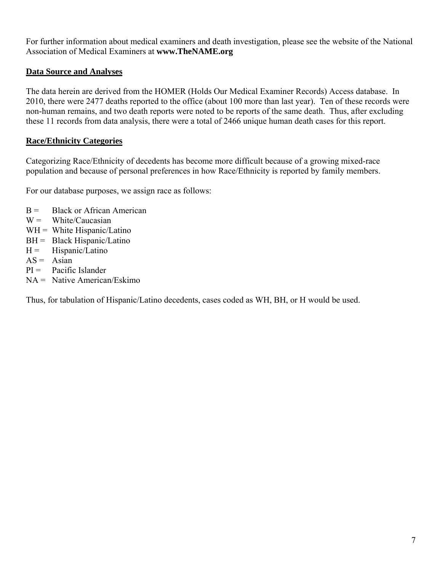For further information about medical examiners and death investigation, please see the website of the National Association of Medical Examiners at **www.TheNAME.org**

#### **Data Source and Analyses**

The data herein are derived from the HOMER (Holds Our Medical Examiner Records) Access database. In 2010, there were 2477 deaths reported to the office (about 100 more than last year). Ten of these records were non-human remains, and two death reports were noted to be reports of the same death. Thus, after excluding these 11 records from data analysis, there were a total of 2466 unique human death cases for this report.

#### **Race/Ethnicity Categories**

Categorizing Race/Ethnicity of decedents has become more difficult because of a growing mixed-race population and because of personal preferences in how Race/Ethnicity is reported by family members.

For our database purposes, we assign race as follows:

- $B =$  Black or African American
- $W =$  White/Caucasian
- $WH = White Hispanic/Latino$
- BH = Black Hispanic/Latino
- $H =$  Hispanic/Latino
- $AS = Asian$
- $PI =$  Pacific Islander
- $NA =$  Native American/Eskimo

Thus, for tabulation of Hispanic/Latino decedents, cases coded as WH, BH, or H would be used.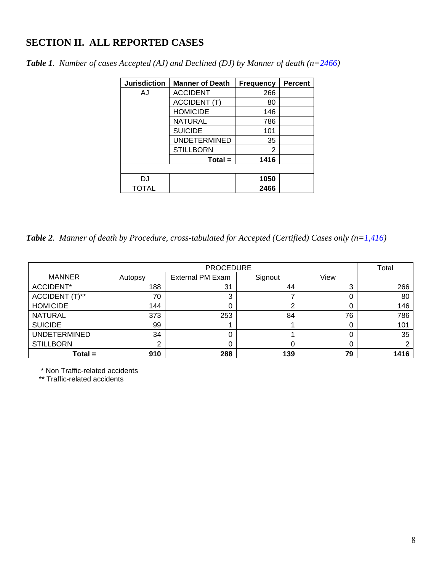## **SECTION II. ALL REPORTED CASES**

| <b>Jurisdiction</b> | <b>Manner of Death</b> | <b>Frequency</b> | <b>Percent</b> |
|---------------------|------------------------|------------------|----------------|
| AJ                  | <b>ACCIDENT</b>        | 266              |                |
|                     | <b>ACCIDENT (T)</b>    | 80               |                |
|                     | <b>HOMICIDE</b>        | 146              |                |
|                     | <b>NATURAL</b>         | 786              |                |
|                     | <b>SUICIDE</b>         | 101              |                |
|                     | <b>UNDETERMINED</b>    | 35               |                |
|                     | <b>STILLBORN</b>       | 2                |                |
|                     | $Total =$              | 1416             |                |
|                     |                        |                  |                |
| <b>DJ</b>           |                        | 1050             |                |
| <b>TOTAL</b>        |                        | 2466             |                |

*Table 1. Number of cases Accepted (AJ) and Declined (DJ) by Manner of death (n=2466)*

*Table 2. Manner of death by Procedure, cross-tabulated for Accepted (Certified) Cases only (n=1,416)* 

|                     |         | Total                   |         |      |      |
|---------------------|---------|-------------------------|---------|------|------|
| <b>MANNER</b>       | Autopsy | <b>External PM Exam</b> | Signout | View |      |
| ACCIDENT*           | 188     | 31                      | 44      |      | 266  |
| ACCIDENT (T)**      | 70      | っ<br>J                  |         |      | 80   |
| <b>HOMICIDE</b>     | 144     |                         |         |      | 146  |
| <b>NATURAL</b>      | 373     | 253                     | 84      | 76   | 786  |
| <b>SUICIDE</b>      | 99      |                         |         |      | 101  |
| <b>UNDETERMINED</b> | 34      |                         |         |      | 35   |
| <b>STILLBORN</b>    |         |                         |         |      | 2    |
| $Total =$           | 910     | 288                     | 139     | 79   | 1416 |

\* Non Traffic-related accidents

\*\* Traffic-related accidents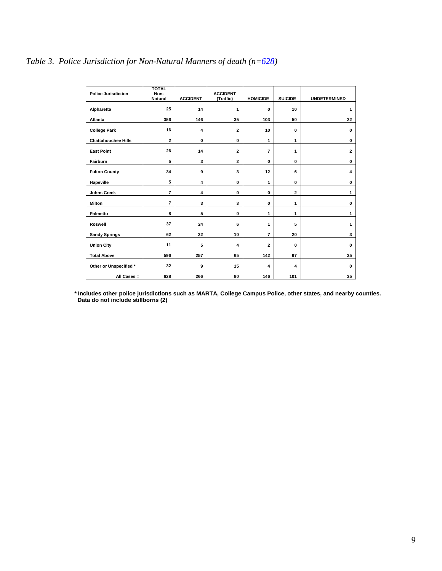### *Table 3. Police Jurisdiction for Non-Natural Manners of death (n=628)*

| <b>Police Jurisdiction</b> | <b>TOTAL</b><br>Non-<br><b>Natural</b> | <b>ACCIDENT</b> | <b>ACCIDENT</b><br>(Traffic) | <b>HOMICIDE</b> | <b>SUICIDE</b> | <b>UNDETERMINED</b> |
|----------------------------|----------------------------------------|-----------------|------------------------------|-----------------|----------------|---------------------|
| Alpharetta                 | 25                                     | 14              | 1                            | 0               | 10             | 1                   |
| Atlanta                    | 356                                    | 146             | 35                           | 103             | 50             | 22                  |
| <b>College Park</b>        | 16                                     | 4               | $\mathbf{z}$                 | 10              | $\bf{0}$       | 0                   |
| <b>Chattahoochee Hills</b> | 2                                      | 0               | 0                            | 1               | 1              | 0                   |
| <b>East Point</b>          | 26                                     | 14              | $\mathbf{2}$                 | 7               | 1              | $\mathbf{2}$        |
| Fairburn                   | 5                                      | 3               | 2                            | 0               | 0              | 0                   |
| <b>Fulton County</b>       | 34                                     | 9               | 3                            | 12              | 6              | 4                   |
| Hapeville                  | 5                                      | 4               | 0                            | 1               | 0              | 0                   |
| <b>Johns Creek</b>         | 7                                      | 4               | $\mathbf 0$                  | 0               | $\mathbf{2}$   | 1                   |
| Milton                     | 7                                      | 3               | 3                            | 0               | 1              | 0                   |
| Palmetto                   | 8                                      | 5               | 0                            | 1               | 1              | 1                   |
| Roswell                    | 37                                     | 24              | 6                            | 1               | 5              | 1                   |
| <b>Sandy Springs</b>       | 62                                     | 22              | 10                           | 7               | 20             | 3                   |
| <b>Union City</b>          | 11                                     | 5               | 4                            | 2               | $\bf{0}$       | 0                   |
| <b>Total Above</b>         | 596                                    | 257             | 65                           | 142             | 97             | 35                  |
| Other or Unspecified *     | 32                                     | 9               | 15                           | 4               | 4              | 0                   |
| All Cases =                | 628                                    | 266             | 80                           | 146             | 101            | 35                  |

 **\* Includes other police jurisdictions such as MARTA, College Campus Police, other states, and nearby counties. Data do not include stillborns (2)**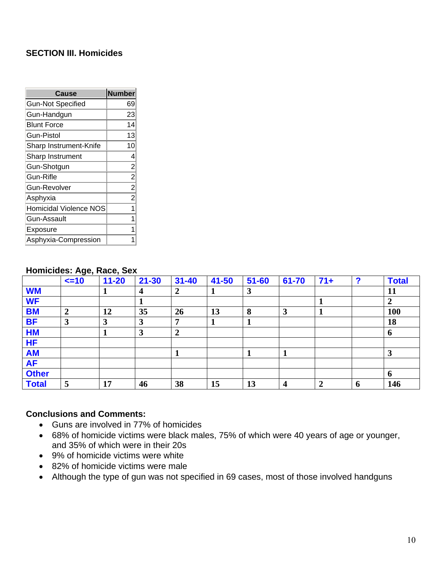#### **SECTION III. Homicides**

| Cause                         | <b>Number</b>  |
|-------------------------------|----------------|
| <b>Gun-Not Specified</b>      | 69             |
| Gun-Handgun                   | 23             |
| <b>Blunt Force</b>            | 14             |
| <b>Gun-Pistol</b>             | 13             |
| Sharp Instrument-Knife        | 10             |
| Sharp Instrument              | 4              |
| Gun-Shotgun                   | $\overline{c}$ |
| Gun-Rifle                     | $\overline{c}$ |
| <b>Gun-Revolver</b>           | $\overline{c}$ |
| Asphyxia                      | $\mathbf{r}$   |
| <b>Homicidal Violence NOS</b> | 1              |
| Gun-Assault                   | 1              |
| Exposure                      | 1              |
| Asphyxia-Compression          |                |

#### **Homicides: Age, Race, Sex**

|              | $\leq$ -10       | $\cdots$ $\cdots$<br>$11 - 20$ | $21 - 30$      | $31 - 40$      | $41 - 50$ | $51 - 60$ | 61-70          | $71+$          | 2           | <b>Total</b> |
|--------------|------------------|--------------------------------|----------------|----------------|-----------|-----------|----------------|----------------|-------------|--------------|
| <b>WM</b>    |                  |                                | $\overline{4}$ | 2              |           | 3         |                |                |             | 11           |
| <b>WF</b>    |                  |                                |                |                |           |           |                |                |             |              |
| <b>BM</b>    | $\boldsymbol{2}$ | 12                             | 35             | 26             | 13        | 8         | 3              |                |             | <b>100</b>   |
| <b>BF</b>    | 3                | 3                              | 3              | 7              |           |           |                |                |             | 18           |
| <b>HM</b>    |                  |                                | 3              | $\overline{2}$ |           |           |                |                |             | 6            |
| <b>HF</b>    |                  |                                |                |                |           |           |                |                |             |              |
| <b>AM</b>    |                  |                                |                |                |           |           |                |                |             | 3            |
| <b>AF</b>    |                  |                                |                |                |           |           |                |                |             |              |
| <b>Other</b> |                  |                                |                |                |           |           |                |                |             | $\mathbf 0$  |
| <b>Total</b> | 5                | 17                             | 46             | 38             | 15        | 13        | $\overline{4}$ | $\overline{2}$ | $\mathbf b$ | 146          |

- Guns are involved in 77% of homicides
- 68% of homicide victims were black males, 75% of which were 40 years of age or younger, and 35% of which were in their 20s
- 9% of homicide victims were white
- 82% of homicide victims were male
- Although the type of gun was not specified in 69 cases, most of those involved handguns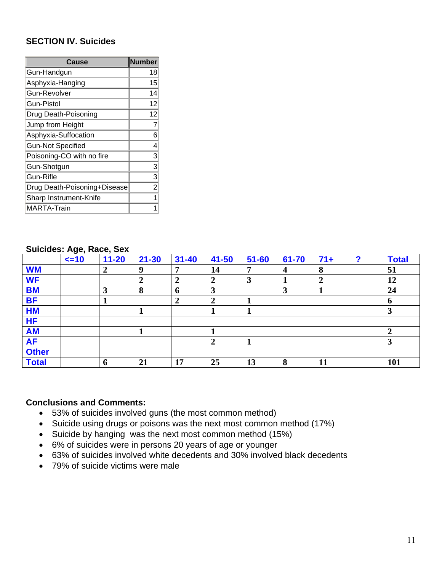#### **SECTION IV. Suicides**

| Cause                        | <b>Number</b> |
|------------------------------|---------------|
| Gun-Handgun                  | 18            |
| Asphyxia-Hanging             | 15            |
| <b>Gun-Revolver</b>          | 14            |
| <b>Gun-Pistol</b>            | 12            |
| Drug Death-Poisoning         | 12            |
| Jump from Height             | 7             |
| Asphyxia-Suffocation         | 6             |
| <b>Gun-Not Specified</b>     | 4             |
| Poisoning-CO with no fire    | 3             |
| Gun-Shotgun                  | 3             |
| Gun-Rifle                    | 3             |
| Drug Death-Poisoning+Disease | 2             |
| Sharp Instrument-Knife       |               |
| <b>MARTA-Train</b>           |               |

|              |             | $\frac{1}{2}$ |                  |                |                |           |       |                |   |              |
|--------------|-------------|---------------|------------------|----------------|----------------|-----------|-------|----------------|---|--------------|
|              | $\leq$ = 10 | $11 - 20$     | $21 - 30$        | $31 - 40$      | $41 - 50$      | $51 - 60$ | 61-70 | $71+$          | 2 | <b>Total</b> |
| <b>WM</b>    |             |               | 9                | ៗ              | 14             | ៗ         | 4     | 8              |   | 51           |
| <b>WF</b>    |             |               | $\boldsymbol{2}$ | ↑<br>◢         | $\overline{2}$ | 3         |       | $\overline{2}$ |   | 12           |
| <b>BM</b>    |             | 3             | 8                | $\mathbf 6$    | 3              |           | 3     |                |   | 24           |
| <b>BF</b>    |             |               |                  | $\overline{2}$ | $\overline{2}$ |           |       |                |   | <sup>0</sup> |
| <b>HM</b>    |             |               |                  |                |                |           |       |                |   | 3            |
| <b>HF</b>    |             |               |                  |                |                |           |       |                |   |              |
| <b>AM</b>    |             |               |                  |                |                |           |       |                |   | $\mathbf 2$  |
| <b>AF</b>    |             |               |                  |                | $\overline{2}$ |           |       |                |   | 3            |
| <b>Other</b> |             |               |                  |                |                |           |       |                |   |              |
| <b>Total</b> |             | 6             | 21               | 17             | 25             | 13        | 8     | 11             |   | 101          |

#### **Suicides: Age, Race, Sex**

- 53% of suicides involved guns (the most common method)
- Suicide using drugs or poisons was the next most common method (17%)
- Suicide by hanging was the next most common method (15%)
- 6% of suicides were in persons 20 years of age or younger
- 63% of suicides involved white decedents and 30% involved black decedents
- 79% of suicide victims were male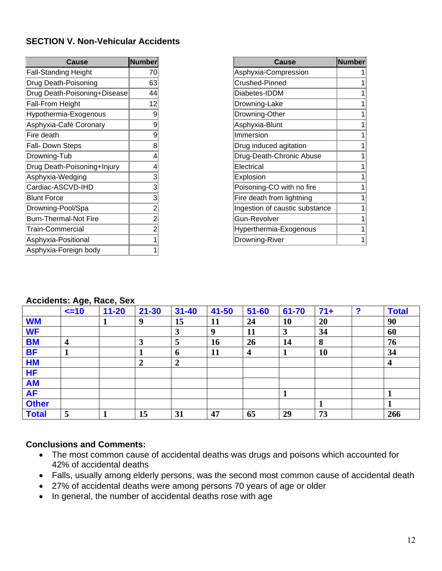#### **SECTION V. Non-Vehicular Accidents**

| <b>Cause</b>                 | <b>Number</b>  |
|------------------------------|----------------|
| <b>Fall-Standing Height</b>  | 70             |
| Drug Death-Poisoning         | 63             |
| Drug Death-Poisoning+Disease | 44             |
| Fall-From Height             | 12             |
| Hypothermia-Exogenous        | 9              |
| Asphyxia-Café Coronary       | 9              |
| Fire death                   | 9              |
| Fall- Down Steps             | 8              |
| Drowning-Tub                 | 4              |
| Drug Death-Poisoning+Injury  | 4              |
| Asphyxia-Wedging             | 3              |
| Cardiac-ASCVD-IHD            | 3              |
| <b>Blunt Force</b>           | 3              |
| Drowning-Pool/Spa            | $\overline{2}$ |
| <b>Burn-Thermal-Not Fire</b> | $\overline{2}$ |
| Train-Commercial             | 2              |
| Asphyxia-Positional          | 1              |
| Asphyxia-Foreign body        | 1              |

| Cause                          | <b>Number</b> |
|--------------------------------|---------------|
| Asphyxia-Compression           |               |
| Crushed-Pinned                 |               |
| Diabetes-IDDM                  |               |
| Drowning-Lake                  |               |
| Drowning-Other                 |               |
| Asphyxia-Blunt                 |               |
| Immersion                      |               |
| Drug induced agitation         | 1             |
| Drug-Death-Chronic Abuse       |               |
| Electrical                     | 1             |
| Explosion                      | 1             |
| Poisoning-CO with no fire      |               |
| Fire death from lightning      |               |
| Ingestion of caustic substance | 1             |
| <b>Gun-Revolver</b>            | 1             |
| Hyperthermia-Exogenous         |               |
| Drowning-River                 |               |

### **Accidents: Age, Race, Sex**

|              | $\leq$ =10 | $11 - 20$ | $21 - 30$        | $31 - 40$      | 41-50 | $51 - 60$               | 61-70 | $71+$ | ◠ | <b>Total</b>     |
|--------------|------------|-----------|------------------|----------------|-------|-------------------------|-------|-------|---|------------------|
| <b>WM</b>    |            |           | 9                | 15             | 11    | 24                      | 10    | 20    |   | 90               |
| <b>WF</b>    |            |           |                  | 3              | 9     | 11                      | 3     | 34    |   | 60               |
| <b>BM</b>    | 4          |           | 3                | 5              | 16    | 26                      | 14    | 8     |   | 76               |
| <b>BF</b>    | 1          |           | 1                | -6             | 11    | $\overline{\mathbf{4}}$ | л     | 10    |   | 34               |
| <b>HM</b>    |            |           | $\boldsymbol{2}$ | $\overline{2}$ |       |                         |       |       |   | $\boldsymbol{4}$ |
| <b>HF</b>    |            |           |                  |                |       |                         |       |       |   |                  |
| <b>AM</b>    |            |           |                  |                |       |                         |       |       |   |                  |
| <b>AF</b>    |            |           |                  |                |       |                         |       |       |   |                  |
| <b>Other</b> |            |           |                  |                |       |                         |       |       |   |                  |
| <b>Total</b> | 5          |           | 15               | 31             | 47    | 65                      | 29    | 73    |   | 266              |

- The most common cause of accidental deaths was drugs and poisons which accounted for 42% of accidental deaths
- Falls, usually among elderly persons, was the second most common cause of accidental death
- 27% of accidental deaths were among persons 70 years of age or older
- In general, the number of accidental deaths rose with age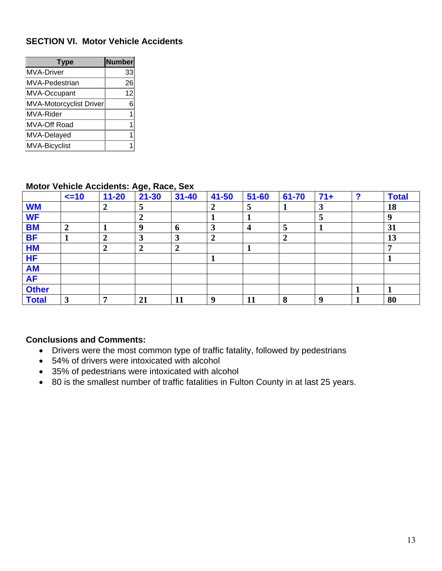#### **SECTION VI. Motor Vehicle Accidents**

| <b>Type</b>             | <b>Number</b> |
|-------------------------|---------------|
| <b>MVA-Driver</b>       | 33            |
| <b>MVA-Pedestrian</b>   | 26            |
| MVA-Occupant            | 12            |
| MVA-Motorcyclist Driver | 6             |
| MVA-Rider               |               |
| MVA-Off Road            |               |
| MVA-Delayed             |               |
| <b>MVA-Bicyclist</b>    |               |

#### **Motor Vehicle Accidents: Age, Race, Sex**

|              | $\leq$ =10       | $11 - 20$        | $\ddot{\phantom{a}}$<br>$21 - 30$ | $\overline{\phantom{a}}$<br>$31 - 40$ | $41 - 50$        | $51 - 60$ | 61-70            | $71+$ | 2 | <b>Total</b> |
|--------------|------------------|------------------|-----------------------------------|---------------------------------------|------------------|-----------|------------------|-------|---|--------------|
| <b>WM</b>    |                  | $\boldsymbol{2}$ | 5                                 |                                       | $\boldsymbol{2}$ | 5         |                  | 3     |   | 18           |
| <b>WF</b>    |                  |                  | $\boldsymbol{2}$                  |                                       |                  |           |                  | 5     |   | <b>Q</b>     |
| <b>BM</b>    | $\boldsymbol{2}$ |                  | 9                                 | 6                                     | 3                | 4         | 5                |       |   | 31           |
| <b>BF</b>    |                  | $\boldsymbol{2}$ | 3                                 | 3                                     | $\overline{2}$   |           | $\boldsymbol{2}$ |       |   | 13           |
| <b>HM</b>    |                  | $\boldsymbol{2}$ | $\boldsymbol{2}$                  | 2                                     |                  |           |                  |       |   |              |
| <b>HF</b>    |                  |                  |                                   |                                       |                  |           |                  |       |   |              |
| <b>AM</b>    |                  |                  |                                   |                                       |                  |           |                  |       |   |              |
| <b>AF</b>    |                  |                  |                                   |                                       |                  |           |                  |       |   |              |
| <b>Other</b> |                  |                  |                                   |                                       |                  |           |                  |       |   |              |
| <b>Total</b> | 3                | ៗ                | 21                                | 11                                    | 9                | 11        | 8                | 9     |   | 80           |

- Drivers were the most common type of traffic fatality, followed by pedestrians
- 54% of drivers were intoxicated with alcohol
- 35% of pedestrians were intoxicated with alcohol
- 80 is the smallest number of traffic fatalities in Fulton County in at last 25 years.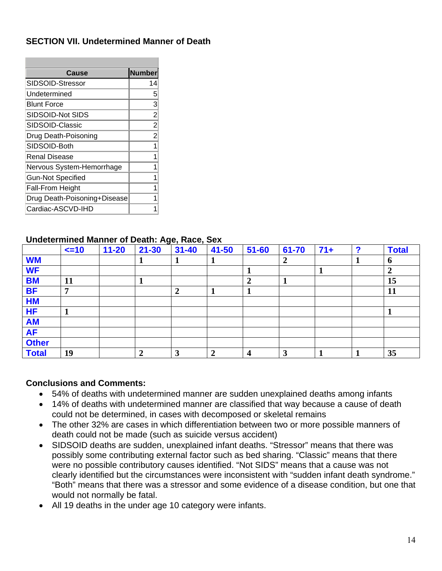#### **SECTION VII. Undetermined Manner of Death**

| <b>Number</b>  |
|----------------|
| 14             |
| 5              |
| 3              |
| $\frac{2}{2}$  |
|                |
| $\overline{c}$ |
| 1              |
|                |
|                |
|                |
|                |
|                |
|                |
|                |

#### **Undetermined Manner of Death: Age, Race, Sex**

|              | $\leq$ =10 | $11 - 20$ | $21 - 30$      | -<br>$\overline{\phantom{a}}$<br>$31 - 40$ | $41 - 50$        | $51 - 60$      | 61-70            | $71+$ | 0 | <b>Total</b> |
|--------------|------------|-----------|----------------|--------------------------------------------|------------------|----------------|------------------|-------|---|--------------|
| <b>WM</b>    |            |           |                |                                            | л                |                | $\boldsymbol{2}$ |       |   | $\mathbf b$  |
| <b>WF</b>    |            |           |                |                                            |                  |                |                  |       |   |              |
| <b>BM</b>    | 11         |           | д              |                                            |                  | $\overline{2}$ |                  |       |   | 15           |
| <b>BF</b>    | 7          |           |                | $\mathbf 2$                                |                  |                |                  |       |   | <b>11</b>    |
| <b>HM</b>    |            |           |                |                                            |                  |                |                  |       |   |              |
| <b>HF</b>    |            |           |                |                                            |                  |                |                  |       |   |              |
| <b>AM</b>    |            |           |                |                                            |                  |                |                  |       |   |              |
| <b>AF</b>    |            |           |                |                                            |                  |                |                  |       |   |              |
| <b>Other</b> |            |           |                |                                            |                  |                |                  |       |   |              |
| <b>Total</b> | 19         |           | $\overline{2}$ |                                            | $\boldsymbol{2}$ | 4              | 3                |       |   | 35           |

- 54% of deaths with undetermined manner are sudden unexplained deaths among infants
- 14% of deaths with undetermined manner are classified that way because a cause of death could not be determined, in cases with decomposed or skeletal remains
- The other 32% are cases in which differentiation between two or more possible manners of death could not be made (such as suicide versus accident)
- SIDSOID deaths are sudden, unexplained infant deaths. "Stressor" means that there was possibly some contributing external factor such as bed sharing. "Classic" means that there were no possible contributory causes identified. "Not SIDS" means that a cause was not clearly identified but the circumstances were inconsistent with "sudden infant death syndrome." "Both" means that there was a stressor and some evidence of a disease condition, but one that would not normally be fatal.
- All 19 deaths in the under age 10 category were infants.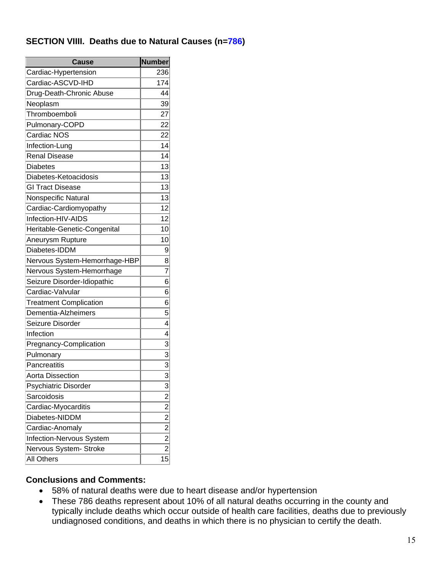#### **SECTION VIIII. Deaths due to Natural Causes (n=786)**

| <b>Cause</b>                  | <b>Number</b>                                             |  |
|-------------------------------|-----------------------------------------------------------|--|
| Cardiac-Hypertension          | 236                                                       |  |
| Cardiac-ASCVD-IHD             | 174                                                       |  |
| Drug-Death-Chronic Abuse      | 44                                                        |  |
| Neoplasm                      | 39                                                        |  |
| Thromboemboli                 | 27                                                        |  |
| Pulmonary-COPD                | 22                                                        |  |
| Cardiac NOS                   | 22                                                        |  |
| Infection-Lung                | 14                                                        |  |
| <b>Renal Disease</b>          | 14                                                        |  |
| <b>Diabetes</b>               | 13                                                        |  |
| Diabetes-Ketoacidosis         | 13                                                        |  |
| <b>GI Tract Disease</b>       | 13                                                        |  |
| Nonspecific Natural           | 13                                                        |  |
| Cardiac-Cardiomyopathy        | 12                                                        |  |
| Infection-HIV-AIDS            | 12                                                        |  |
| Heritable-Genetic-Congenital  | 10                                                        |  |
| Aneurysm Rupture              | 10                                                        |  |
| Diabetes-IDDM                 | 9                                                         |  |
| Nervous System-Hemorrhage-HBP | 8                                                         |  |
| Nervous System-Hemorrhage     | $\overline{7}$                                            |  |
| Seizure Disorder-Idiopathic   | 6                                                         |  |
| Cardiac-Valvular              | 6                                                         |  |
| <b>Treatment Complication</b> | 6                                                         |  |
| Dementia-Alzheimers           | 5                                                         |  |
| Seizure Disorder              | 4                                                         |  |
| Infection                     | $\overline{4}$                                            |  |
| Pregnancy-Complication        | 3                                                         |  |
| Pulmonary                     |                                                           |  |
| Pancreatitis                  | $\frac{3}{3}$                                             |  |
| <b>Aorta Dissection</b>       | $\overline{\overline{3}}$                                 |  |
| Psychiatric Disorder          | 3                                                         |  |
| Sarcoidosis                   |                                                           |  |
| Cardiac-Myocarditis           |                                                           |  |
| Diabetes-NIDDM                | $\frac{-2}{2}$ $\frac{2}{2}$ $\frac{-2}{2}$ $\frac{2}{2}$ |  |
| Cardiac-Anomaly               |                                                           |  |
| Infection-Nervous System      |                                                           |  |
| Nervous System- Stroke        |                                                           |  |
| All Others                    | $\overline{15}$                                           |  |

- 58% of natural deaths were due to heart disease and/or hypertension
- These 786 deaths represent about 10% of all natural deaths occurring in the county and typically include deaths which occur outside of health care facilities, deaths due to previously undiagnosed conditions, and deaths in which there is no physician to certify the death.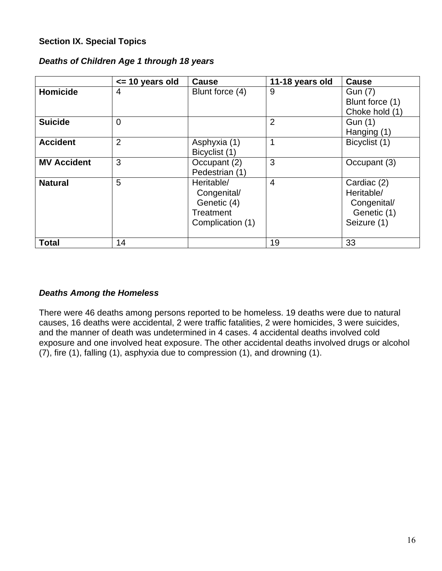#### **Section IX. Special Topics**

#### *Deaths of Children Age 1 through 18 years*

|                    | $\le$ 10 years old | <b>Cause</b>                                                              | 11-18 years old | <b>Cause</b>                                                           |
|--------------------|--------------------|---------------------------------------------------------------------------|-----------------|------------------------------------------------------------------------|
| <b>Homicide</b>    | 4                  | Blunt force (4)                                                           | 9               | <b>Gun (7)</b><br>Blunt force (1)<br>Choke hold (1)                    |
| <b>Suicide</b>     | $\overline{0}$     |                                                                           | $\overline{2}$  | Gun (1)<br>Hanging (1)                                                 |
| <b>Accident</b>    | $\overline{2}$     | Asphyxia (1)<br>Bicyclist (1)                                             | 1               | Bicyclist (1)                                                          |
| <b>MV Accident</b> | 3                  | Occupant (2)<br>Pedestrian (1)                                            | 3               | Occupant (3)                                                           |
| <b>Natural</b>     | 5                  | Heritable/<br>Congenital/<br>Genetic (4)<br>Treatment<br>Complication (1) | $\overline{4}$  | Cardiac (2)<br>Heritable/<br>Congenital/<br>Genetic (1)<br>Seizure (1) |
| <b>Total</b>       | 14                 |                                                                           | 19              | 33                                                                     |

#### *Deaths Among the Homeless*

There were 46 deaths among persons reported to be homeless. 19 deaths were due to natural causes, 16 deaths were accidental, 2 were traffic fatalities, 2 were homicides, 3 were suicides, and the manner of death was undetermined in 4 cases. 4 accidental deaths involved cold exposure and one involved heat exposure. The other accidental deaths involved drugs or alcohol (7), fire (1), falling (1), asphyxia due to compression (1), and drowning (1).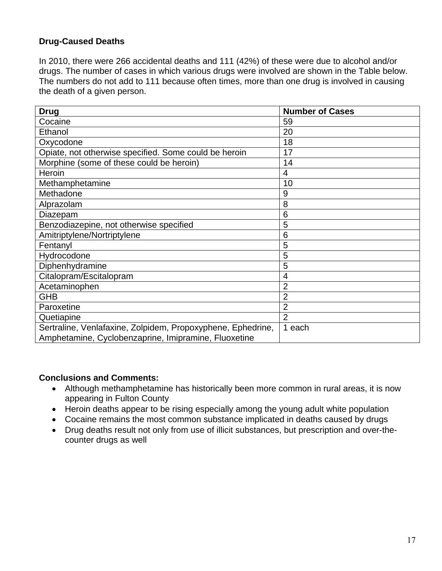### **Drug-Caused Deaths**

In 2010, there were 266 accidental deaths and 111 (42%) of these were due to alcohol and/or drugs. The number of cases in which various drugs were involved are shown in the Table below. The numbers do not add to 111 because often times, more than one drug is involved in causing the death of a given person.

| <b>Drug</b>                                                                                                         | <b>Number of Cases</b> |
|---------------------------------------------------------------------------------------------------------------------|------------------------|
| Cocaine                                                                                                             | 59                     |
| Ethanol                                                                                                             | 20                     |
| Oxycodone                                                                                                           | 18                     |
| Opiate, not otherwise specified. Some could be heroin                                                               | 17                     |
| Morphine (some of these could be heroin)                                                                            | 14                     |
| Heroin                                                                                                              | 4                      |
| Methamphetamine                                                                                                     | 10                     |
| Methadone                                                                                                           | 9                      |
| Alprazolam                                                                                                          | 8                      |
| Diazepam                                                                                                            | 6                      |
| Benzodiazepine, not otherwise specified                                                                             | 5                      |
| Amitriptylene/Nortriptylene                                                                                         | 6                      |
| Fentanyl                                                                                                            | 5                      |
| Hydrocodone                                                                                                         | 5                      |
| Diphenhydramine                                                                                                     | 5                      |
| Citalopram/Escitalopram                                                                                             | 4                      |
| Acetaminophen                                                                                                       | $\overline{2}$         |
| <b>GHB</b>                                                                                                          | $\overline{2}$         |
| Paroxetine                                                                                                          | $\overline{2}$         |
| Quetiapine                                                                                                          | $\overline{2}$         |
| Sertraline, Venlafaxine, Zolpidem, Propoxyphene, Ephedrine,<br>Amphetamine, Cyclobenzaprine, Imipramine, Fluoxetine | 1 each                 |

- Although methamphetamine has historically been more common in rural areas, it is now appearing in Fulton County
- Heroin deaths appear to be rising especially among the young adult white population
- Cocaine remains the most common substance implicated in deaths caused by drugs
- Drug deaths result not only from use of illicit substances, but prescription and over-thecounter drugs as well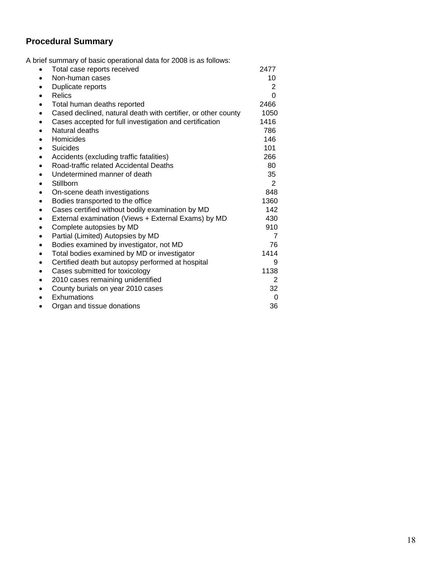## **Procedural Summary**

A brief summary of basic operational data for 2008 is as follows:

| Total case reports received<br>$\bullet$                                   | 2477           |
|----------------------------------------------------------------------------|----------------|
| Non-human cases<br>$\bullet$                                               | 10             |
| Duplicate reports<br>٠                                                     | $\overline{2}$ |
| <b>Relics</b><br>$\bullet$                                                 | 0              |
| Total human deaths reported<br>$\bullet$                                   | 2466           |
| Cased declined, natural death with certifier, or other county<br>$\bullet$ | 1050           |
| Cases accepted for full investigation and certification<br>$\bullet$       | 1416           |
| Natural deaths<br>$\bullet$                                                | 786            |
| Homicides<br>٠                                                             | 146            |
| Suicides<br>$\bullet$                                                      | 101            |
| Accidents (excluding traffic fatalities)<br>$\bullet$                      | 266            |
| Road-traffic related Accidental Deaths<br>$\bullet$                        | 80             |
| Undetermined manner of death<br>$\bullet$                                  | 35             |
| Stillborn<br>$\bullet$                                                     | 2              |
| On-scene death investigations<br>$\bullet$                                 | 848            |
| Bodies transported to the office<br>$\bullet$                              | 1360           |
| Cases certified without bodily examination by MD<br>$\bullet$              | 142            |
| External examination (Views + External Exams) by MD<br>$\bullet$           | 430            |
| Complete autopsies by MD<br>$\bullet$                                      | 910            |
| Partial (Limited) Autopsies by MD<br>$\bullet$                             | 7              |
| Bodies examined by investigator, not MD<br>$\bullet$                       | 76             |
| Total bodies examined by MD or investigator<br>$\bullet$                   | 1414           |
| Certified death but autopsy performed at hospital<br>$\bullet$             | 9              |
| Cases submitted for toxicology<br>$\bullet$                                | 1138           |
| 2010 cases remaining unidentified<br>$\bullet$                             | 2              |
| County burials on year 2010 cases<br>$\bullet$                             | 32             |
| Exhumations<br>$\bullet$                                                   | $\Omega$       |
| Organ and tissue donations                                                 | 36             |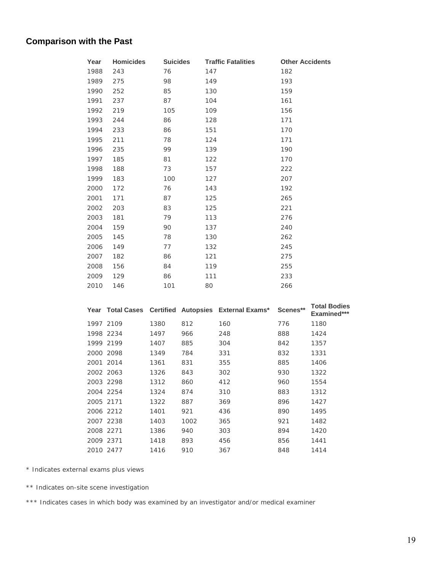# **Comparison with the Past**

| Year | <b>Homicides</b> | <b>Suicides</b> | <b>Traffic Fatalities</b> | <b>Other Accidents</b> |
|------|------------------|-----------------|---------------------------|------------------------|
| 1988 | 243              | 76              | 147                       | 182                    |
| 1989 | 275              | 98              | 149                       | 193                    |
| 1990 | 252              | 85              | 130                       | 159                    |
| 1991 | 237              | 87              | 104                       | 161                    |
| 1992 | 219              | 105             | 109                       | 156                    |
| 1993 | 244              | 86              | 128                       | 171                    |
| 1994 | 233              | 86              | 151                       | 170                    |
| 1995 | 211              | 78              | 124                       | 171                    |
| 1996 | 235              | 99              | 139                       | 190                    |
| 1997 | 185              | 81              | 122                       | 170                    |
| 1998 | 188              | 73              | 157                       | 222                    |
| 1999 | 183              | 100             | 127                       | 207                    |
| 2000 | 172              | 76              | 143                       | 192                    |
| 2001 | 171              | 87              | 125                       | 265                    |
| 2002 | 203              | 83              | 125                       | 221                    |
| 2003 | 181              | 79              | 113                       | 276                    |
| 2004 | 159              | 90              | 137                       | 240                    |
| 2005 | 145              | 78              | 130                       | 262                    |
| 2006 | 149              | 77              | 132                       | 245                    |
| 2007 | 182              | 86              | 121                       | 275                    |
| 2008 | 156              | 84              | 119                       | 255                    |
| 2009 | 129              | 86              | 111                       | 233                    |
| 2010 | 146              | 101             | 80                        | 266                    |

|           |      |      | Year Total Cases Certified Autopsies External Exams* | Scenes** | <b>Total Bodies</b><br>Examined*** |
|-----------|------|------|------------------------------------------------------|----------|------------------------------------|
| 1997 2109 | 1380 | 812  | 160                                                  | 776      | 1180                               |
| 1998 2234 | 1497 | 966  | 248                                                  | 888      | 1424                               |
| 1999 2199 | 1407 | 885  | 304                                                  | 842      | 1357                               |
| 2000 2098 | 1349 | 784  | 331                                                  | 832      | 1331                               |
| 2001 2014 | 1361 | 831  | 355                                                  | 885      | 1406                               |
| 2002 2063 | 1326 | 843  | 302                                                  | 930      | 1322                               |
| 2003 2298 | 1312 | 860  | 412                                                  | 960      | 1554                               |
| 2004 2254 | 1324 | 874  | 310                                                  | 883      | 1312                               |
| 2005 2171 | 1322 | 887  | 369                                                  | 896      | 1427                               |
| 2006 2212 | 1401 | 921  | 436                                                  | 890      | 1495                               |
| 2007 2238 | 1403 | 1002 | 365                                                  | 921      | 1482                               |
| 2008 2271 | 1386 | 940  | 303                                                  | 894      | 1420                               |
| 2009 2371 | 1418 | 893  | 456                                                  | 856      | 1441                               |
| 2010 2477 | 1416 | 910  | 367                                                  | 848      | 1414                               |

\* Indicates external exams plus views

\*\* Indicates on-site scene investigation

\*\*\* Indicates cases in which body was examined by an investigator and/or medical examiner